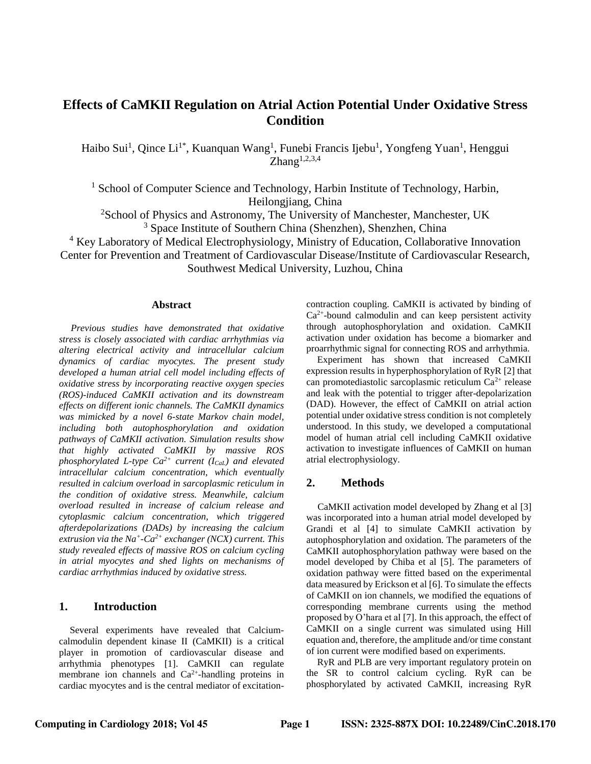# **Effects of CaMKII Regulation on Atrial Action Potential Under Oxidative Stress Condition**

Haibo Sui<sup>1</sup>, Qince Li<sup>1\*</sup>, Kuanquan Wang<sup>1</sup>, Funebi Francis Ijebu<sup>1</sup>, Yongfeng Yuan<sup>1</sup>, Henggui  $Zhang<sup>1,2,3,4</sup>$ 

<sup>1</sup> School of Computer Science and Technology, Harbin Institute of Technology, Harbin, Heilongjiang, China

<sup>2</sup>School of Physics and Astronomy, The University of Manchester, Manchester, UK <sup>3</sup> Space Institute of Southern China (Shenzhen), Shenzhen, China

<sup>4</sup> Key Laboratory of Medical Electrophysiology, Ministry of Education, Collaborative Innovation

Center for Prevention and Treatment of Cardiovascular Disease/Institute of Cardiovascular Research,

Southwest Medical University, Luzhou, China

#### **Abstract**

*Previous studies have demonstrated that oxidative stress is closely associated with cardiac arrhythmias via altering electrical activity and intracellular calcium dynamics of cardiac myocytes. The present study developed a human atrial cell model including effects of oxidative stress by incorporating reactive oxygen species (ROS)-induced CaMKII activation and its downstream effects on different ionic channels. The CaMKII dynamics was mimicked by a novel 6-state Markov chain model, including both autophosphorylation and oxidation pathways of CaMKII activation. Simulation results show that highly activated CaMKII by massive ROS phosphorylated L-type Ca2+ current (ICaL) and elevated intracellular calcium concentration, which eventually resulted in calcium overload in sarcoplasmic reticulum in the condition of oxidative stress. Meanwhile, calcium overload resulted in increase of calcium release and cytoplasmic calcium concentration, which triggered afterdepolarizations (DADs) by increasing the calcium extrusion via the Na<sup>+</sup> -Ca2+ exchanger (NCX) current. This study revealed effects of massive ROS on calcium cycling in atrial myocytes and shed lights on mechanisms of cardiac arrhythmias induced by oxidative stress.*

# **1. Introduction**

Several experiments have revealed that Calciumcalmodulin dependent kinase II (CaMKII) is a critical player in promotion of cardiovascular disease and arrhythmia phenotypes [1]. CaMKII can regulate membrane ion channels and  $Ca^{2+}$ -handling proteins in cardiac myocytes and is the central mediator of excitationcontraction coupling. CaMKII is activated by binding of  $Ca<sup>2+</sup>$ -bound calmodulin and can keep persistent activity through autophosphorylation and oxidation. CaMKII activation under oxidation has become a biomarker and proarrhythmic signal for connecting ROS and arrhythmia.

Experiment has shown that increased CaMKII expression results in hyperphosphorylation of RyR [2] that can promotediastolic sarcoplasmic reticulum  $Ca^{2+}$  release and leak with the potential to trigger after-depolarization (DAD). However, the effect of CaMKII on atrial action potential under oxidative stress condition is not completely understood. In this study, we developed a computational model of human atrial cell including CaMKII oxidative activation to investigate influences of CaMKII on human atrial electrophysiology.

## **2. Methods**

CaMKII activation model developed by Zhang et al [3] was incorporated into a human atrial model developed by Grandi et al [4] to simulate CaMKII activation by autophosphorylation and oxidation. The parameters of the CaMKII autophosphorylation pathway were based on the model developed by Chiba et al [5]. The parameters of oxidation pathway were fitted based on the experimental data measured by Erickson et al [6]. To simulate the effects of CaMKII on ion channels, we modified the equations of corresponding membrane currents using the method proposed by O'hara et al [7]. In this approach, the effect of CaMKII on a single current was simulated using Hill equation and, therefore, the amplitude and/or time constant of ion current were modified based on experiments.

RyR and PLB are very important regulatory protein on the SR to control calcium cycling. RyR can be phosphorylated by activated CaMKII, increasing RyR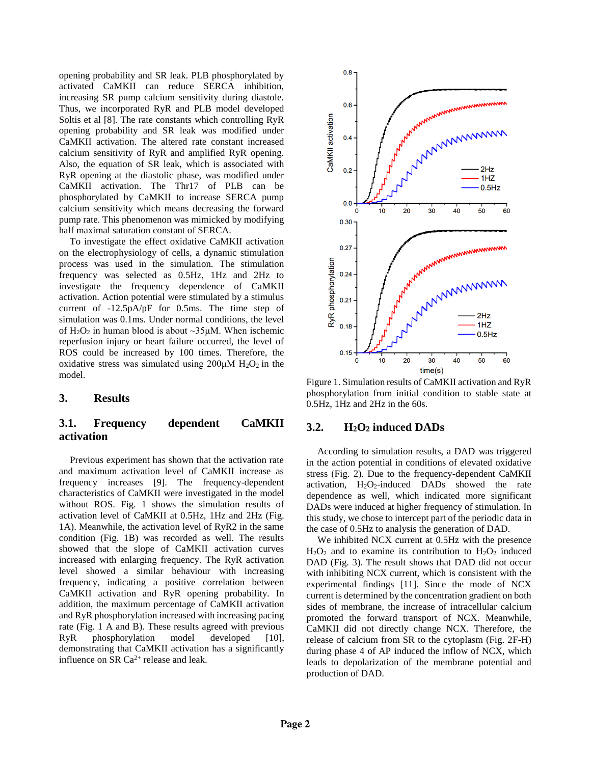opening probability and SR leak. PLB phosphorylated by activated CaMKII can reduce SERCA inhibition, increasing SR pump calcium sensitivity during diastole. Thus, we incorporated RyR and PLB model developed Soltis et al [8]. The rate constants which controlling RyR opening probability and SR leak was modified under CaMKII activation. The altered rate constant increased calcium sensitivity of RyR and amplified RyR opening. Also, the equation of SR leak, which is associated with RyR opening at the diastolic phase, was modified under CaMKII activation. The Thr17 of PLB can be phosphorylated by CaMKII to increase SERCA pump calcium sensitivity which means decreasing the forward pump rate. This phenomenon was mimicked by modifying half maximal saturation constant of SERCA.

To investigate the effect oxidative CaMKII activation on the electrophysiology of cells, a dynamic stimulation process was used in the simulation. The stimulation frequency was selected as 0.5Hz, 1Hz and 2Hz to investigate the frequency dependence of CaMKII activation. Action potential were stimulated by a stimulus current of -12.5pA/pF for 0.5ms. The time step of simulation was 0.1ms. Under normal conditions, the level of  $H_2O_2$  in human blood is about ~35μM. When ischemic reperfusion injury or heart failure occurred, the level of ROS could be increased by 100 times. Therefore, the oxidative stress was simulated using  $200\mu$ M H<sub>2</sub>O<sub>2</sub> in the model.

### **3. Results**

# **3.1. Frequency dependent CaMKII activation**

Previous experiment has shown that the activation rate and maximum activation level of CaMKII increase as frequency increases [9]. The frequency-dependent characteristics of CaMKII were investigated in the model without ROS. Fig. 1 shows the simulation results of activation level of CaMKII at 0.5Hz, 1Hz and 2Hz (Fig. 1A). Meanwhile, the activation level of RyR2 in the same condition (Fig. 1B) was recorded as well. The results showed that the slope of CaMKII activation curves increased with enlarging frequency. The RyR activation level showed a similar behaviour with increasing frequency, indicating a positive correlation between CaMKII activation and RyR opening probability. In addition, the maximum percentage of CaMKII activation and RyR phosphorylation increased with increasing pacing rate (Fig. 1 A and B). These results agreed with previous RyR phosphorylation model developed [10], demonstrating that CaMKII activation has a significantly influence on SR  $Ca^{2+}$  release and leak.



Figure 1. Simulation results of CaMKII activation and RyR phosphorylation from initial condition to stable state at 0.5Hz, 1Hz and 2Hz in the 60s.

### **3.2. H2O<sup>2</sup> induced DADs**

According to simulation results, a DAD was triggered in the action potential in conditions of elevated oxidative stress (Fig. 2). Due to the frequency-dependent CaMKII activation,  $H_2O_2$ -induced DADs showed the rate dependence as well, which indicated more significant DADs were induced at higher frequency of stimulation. In this study, we chose to intercept part of the periodic data in the case of 0.5Hz to analysis the generation of DAD.

We inhibited NCX current at 0.5Hz with the presence  $H<sub>2</sub>O<sub>2</sub>$  and to examine its contribution to  $H<sub>2</sub>O<sub>2</sub>$  induced DAD (Fig. 3). The result shows that DAD did not occur with inhibiting NCX current, which is consistent with the experimental findings [11]. Since the mode of NCX current is determined by the concentration gradient on both sides of membrane, the increase of intracellular calcium promoted the forward transport of NCX. Meanwhile, CaMKII did not directly change NCX. Therefore, the release of calcium from SR to the cytoplasm (Fig. 2F-H) during phase 4 of AP induced the inflow of NCX, which leads to depolarization of the membrane potential and production of DAD.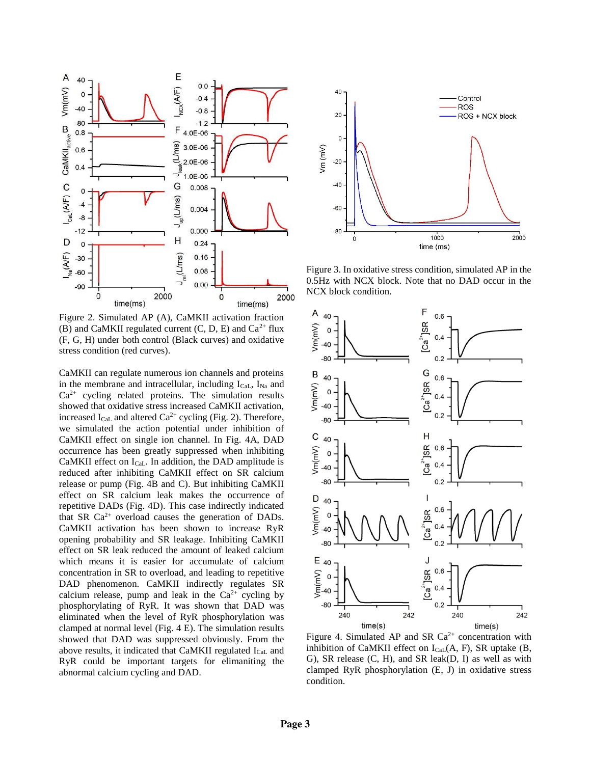

Figure 2. Simulated AP (A), CaMKII activation fraction (B) and CaMKII regulated current  $(C, D, E)$  and  $Ca<sup>2+</sup>$  flux (F, G, H) under both control (Black curves) and oxidative stress condition (red curves).

CaMKII can regulate numerous ion channels and proteins in the membrane and intracellular, including  $I_{Cal}$ ,  $I_{Na}$  and  $Ca<sup>2+</sup>$  cycling related proteins. The simulation results showed that oxidative stress increased CaMKII activation, increased  $I_{\text{Cal}}$  and altered  $\text{Ca}^{2+}$  cycling (Fig. 2). Therefore, we simulated the action potential under inhibition of CaMKII effect on single ion channel. In Fig. 4A, DAD occurrence has been greatly suppressed when inhibiting CaMKII effect on  $I_{\text{Cal}}$ . In addition, the DAD amplitude is reduced after inhibiting CaMKII effect on SR calcium release or pump (Fig. 4B and C). But inhibiting CaMKII effect on SR calcium leak makes the occurrence of repetitive DADs (Fig. 4D). This case indirectly indicated that SR  $Ca^{2+}$  overload causes the generation of DADs. CaMKII activation has been shown to increase RyR opening probability and SR leakage. Inhibiting CaMKII effect on SR leak reduced the amount of leaked calcium which means it is easier for accumulate of calcium concentration in SR to overload, and leading to repetitive DAD phenomenon. CaMKII indirectly regulates SR calcium release, pump and leak in the  $Ca^{2+}$  cycling by phosphorylating of RyR. It was shown that DAD was eliminated when the level of RyR phosphorylation was clamped at normal level (Fig. 4 E). The simulation results showed that DAD was suppressed obviously. From the above results, it indicated that CaMKII regulated ICaL and RyR could be important targets for elimaniting the abnormal calcium cycling and DAD.



Figure 3. In oxidative stress condition, simulated AP in the 0.5Hz with NCX block. Note that no DAD occur in the NCX block condition.



Figure 4. Simulated AP and SR  $Ca^{2+}$  concentration with inhibition of CaMKII effect on  $I_{\text{Cal}}(A, F)$ , SR uptake (B, G), SR release (C, H), and SR leak(D, I) as well as with clamped RyR phosphorylation (E, J) in oxidative stress condition.